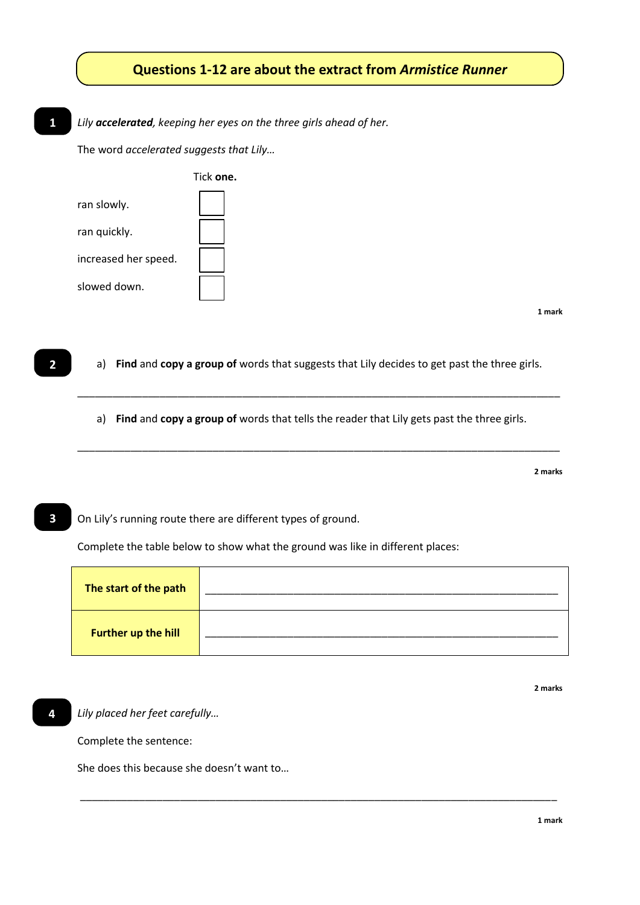## **Questions 1-12 are about the extract from** *Armistice Runner*

*Lily accelerated, keeping her eyes on the three girls ahead of her.* **1**

The word *accelerated suggests that Lily…*

|                      | Tick one. |
|----------------------|-----------|
| ran slowly.          |           |
| ran quickly.         |           |
| increased her speed. |           |
| slowed down.         |           |

**1 mark**

a) **Find** and **copy a group of** words that suggests that Lily decides to get past the three girls.

\_\_\_\_\_\_\_\_\_\_\_\_\_\_\_\_\_\_\_\_\_\_\_\_\_\_\_\_\_\_\_\_\_\_\_\_\_\_\_\_\_\_\_\_\_\_\_\_\_\_\_\_\_\_\_\_\_\_\_\_\_\_\_\_\_\_\_\_\_\_\_\_\_\_\_\_\_\_\_\_\_\_

\_\_\_\_\_\_\_\_\_\_\_\_\_\_\_\_\_\_\_\_\_\_\_\_\_\_\_\_\_\_\_\_\_\_\_\_\_\_\_\_\_\_\_\_\_\_\_\_\_\_\_\_\_\_\_\_\_\_\_\_\_\_\_\_\_\_\_\_\_\_\_\_\_\_\_\_\_\_\_\_\_\_

a) **Find** and **copy a group of** words that tells the reader that Lily gets past the three girls.

**2 marks**

On Lily's running route there are different types of ground. **3**

Complete the table below to show what the ground was like in different places:

| The start of the path      |  |
|----------------------------|--|
| <b>Further up the hill</b> |  |

\_\_\_\_\_\_\_\_\_\_\_\_\_\_\_\_\_\_\_\_\_\_\_\_\_\_\_\_\_\_\_\_\_\_\_\_\_\_\_\_\_\_\_\_\_\_\_\_\_\_\_\_\_\_\_\_\_\_\_\_\_\_\_\_\_\_\_\_\_\_\_\_\_\_\_\_\_\_\_\_\_

**4**

**2**

*Lily placed her feet carefully…*

Complete the sentence:

She does this because she doesn't want to…

**2 marks**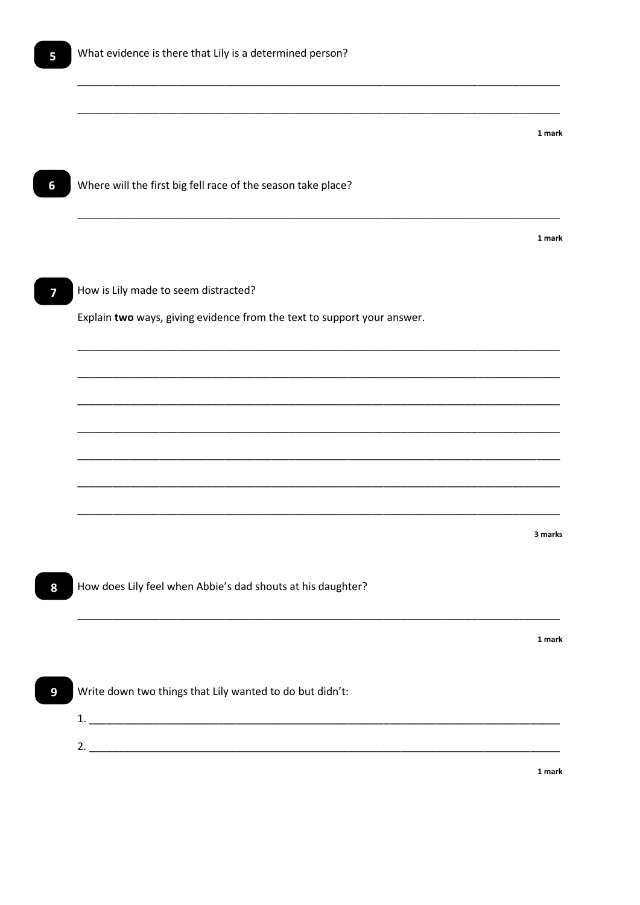$6\phantom{a}$ 

 $\overline{\mathbf{z}}$ 

8

 $\overline{9}$ 

|                                                                         | 1 mark  |
|-------------------------------------------------------------------------|---------|
| Where will the first big fell race of the season take place?            |         |
|                                                                         | 1 mark  |
|                                                                         |         |
| How is Lily made to seem distracted?                                    |         |
| Explain two ways, giving evidence from the text to support your answer. |         |
|                                                                         |         |
|                                                                         |         |
|                                                                         |         |
|                                                                         |         |
|                                                                         |         |
|                                                                         | 3 marks |
| How does Lily feel when Abbie's dad shouts at his daughter?             |         |
|                                                                         |         |
|                                                                         | 1 mark  |
| Write down two things that Lily wanted to do but didn't:                |         |
|                                                                         |         |
|                                                                         |         |